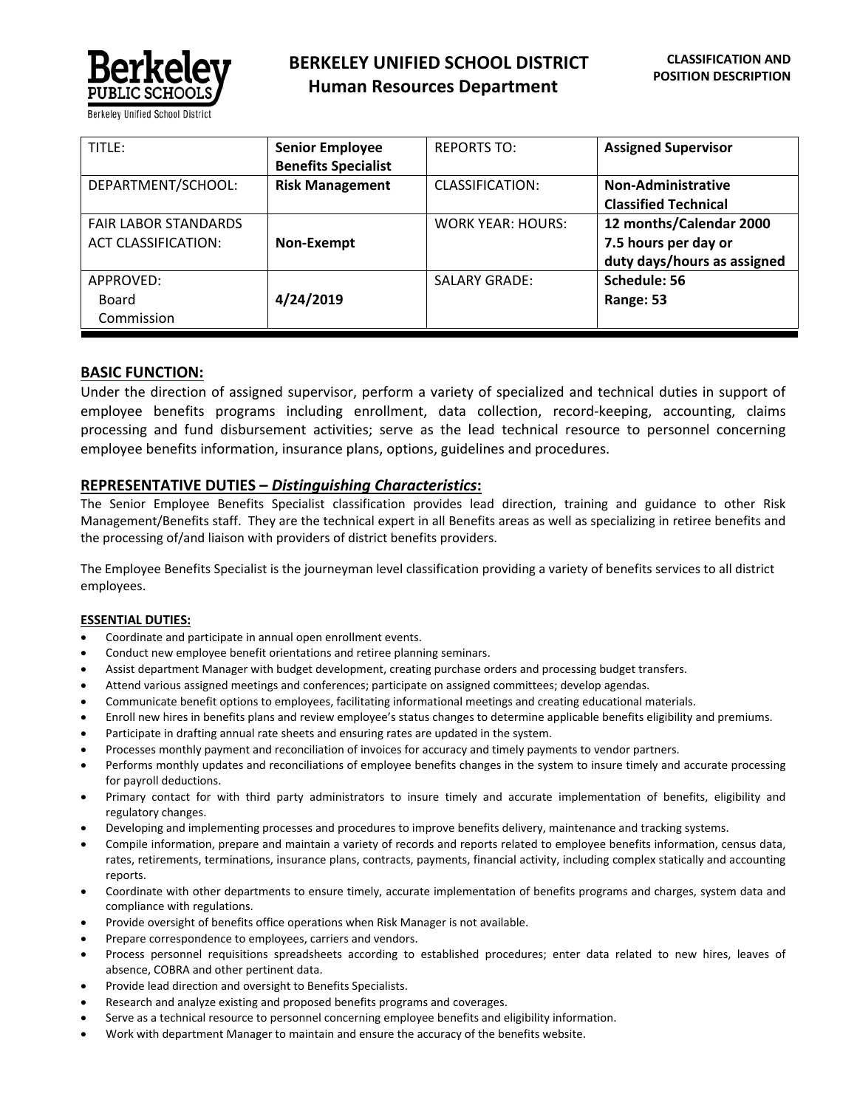

| TITLE:                                                    | <b>Senior Employee</b><br><b>Benefits Specialist</b> | <b>REPORTS TO:</b>       | <b>Assigned Supervisor</b>                                                     |
|-----------------------------------------------------------|------------------------------------------------------|--------------------------|--------------------------------------------------------------------------------|
| DEPARTMENT/SCHOOL:                                        | <b>Risk Management</b>                               | CLASSIFICATION:          | Non-Administrative<br><b>Classified Technical</b>                              |
| <b>FAIR LABOR STANDARDS</b><br><b>ACT CLASSIFICATION:</b> | Non-Exempt                                           | <b>WORK YEAR: HOURS:</b> | 12 months/Calendar 2000<br>7.5 hours per day or<br>duty days/hours as assigned |
| APPROVED:<br>Board<br>Commission                          | 4/24/2019                                            | <b>SALARY GRADE:</b>     | Schedule: 56<br>Range: 53                                                      |

# **BASIC FUNCTION:**

Under the direction of assigned supervisor, perform a variety of specialized and technical duties in support of employee benefits programs including enrollment, data collection, record-keeping, accounting, claims processing and fund disbursement activities; serve as the lead technical resource to personnel concerning employee benefits information, insurance plans, options, guidelines and procedures.

# **REPRESENTATIVE DUTIES –** *Distinguishing Characteristics***:**

The Senior Employee Benefits Specialist classification provides lead direction, training and guidance to other Risk Management/Benefits staff. They are the technical expert in all Benefits areas as well as specializing in retiree benefits and the processing of/and liaison with providers of district benefits providers.

The Employee Benefits Specialist is the journeyman level classification providing a variety of benefits services to all district employees.

## **ESSENTIAL DUTIES:**

- Coordinate and participate in annual open enrollment events.
- Conduct new employee benefit orientations and retiree planning seminars.
- Assist department Manager with budget development, creating purchase orders and processing budget transfers.
- Attend various assigned meetings and conferences; participate on assigned committees; develop agendas.
- Communicate benefit options to employees, facilitating informational meetings and creating educational materials.
- Enroll new hires in benefits plans and review employee's status changes to determine applicable benefits eligibility and premiums.
- Participate in drafting annual rate sheets and ensuring rates are updated in the system.
- Processes monthly payment and reconciliation of invoices for accuracy and timely payments to vendor partners.
- Performs monthly updates and reconciliations of employee benefits changes in the system to insure timely and accurate processing for payroll deductions.
- Primary contact for with third party administrators to insure timely and accurate implementation of benefits, eligibility and regulatory changes.
- Developing and implementing processes and procedures to improve benefits delivery, maintenance and tracking systems.
- Compile information, prepare and maintain a variety of records and reports related to employee benefits information, census data, rates, retirements, terminations, insurance plans, contracts, payments, financial activity, including complex statically and accounting reports.
- Coordinate with other departments to ensure timely, accurate implementation of benefits programs and charges, system data and compliance with regulations.
- Provide oversight of benefits office operations when Risk Manager is not available.
- Prepare correspondence to employees, carriers and vendors.
- Process personnel requisitions spreadsheets according to established procedures; enter data related to new hires, leaves of absence, COBRA and other pertinent data.
- Provide lead direction and oversight to Benefits Specialists.
- Research and analyze existing and proposed benefits programs and coverages.
- Serve as a technical resource to personnel concerning employee benefits and eligibility information.
- Work with department Manager to maintain and ensure the accuracy of the benefits website.